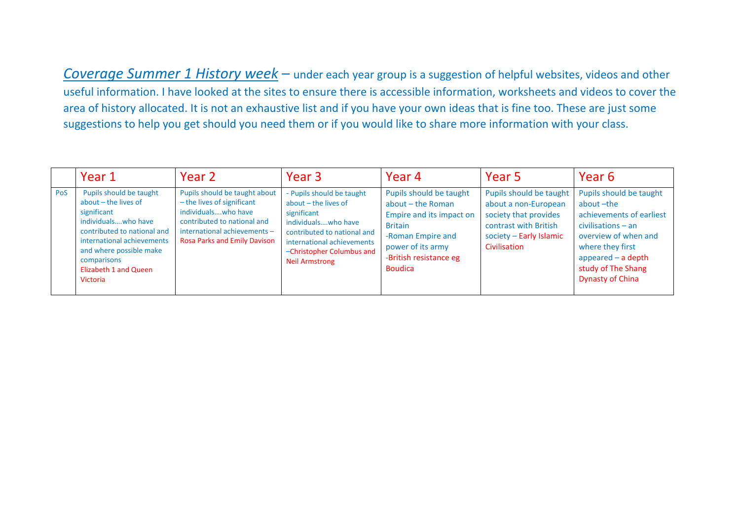*Coverage Summer 1 History week* – under each year group is a suggestion of helpful websites, videos and other useful information. I have looked at the sites to ensure there is accessible information, worksheets and videos to cover the area of history allocated. It is not an exhaustive list and if you have your own ideas that is fine too. These are just some suggestions to help you get should you need them or if you would like to share more information with your class.

|     | Year 1                                                                                                                                                                                                                                       | Year 2                                                                                                                                                                              | Year <sub>3</sub>                                                                                                                                                                                              | Year <sub>4</sub>                                                                                                                                                                | Year 5                                                                                                                                       | Year 6                                                                                                                                                                                                        |
|-----|----------------------------------------------------------------------------------------------------------------------------------------------------------------------------------------------------------------------------------------------|-------------------------------------------------------------------------------------------------------------------------------------------------------------------------------------|----------------------------------------------------------------------------------------------------------------------------------------------------------------------------------------------------------------|----------------------------------------------------------------------------------------------------------------------------------------------------------------------------------|----------------------------------------------------------------------------------------------------------------------------------------------|---------------------------------------------------------------------------------------------------------------------------------------------------------------------------------------------------------------|
| PoS | Pupils should be taught<br>about $-$ the lives of<br>significant<br>individuals, who have<br>contributed to national and<br>international achievements<br>and where possible make<br>comparisons<br><b>Elizabeth 1 and Queen</b><br>Victoria | Pupils should be taught about<br>- the lives of significant<br>individuals, who have<br>contributed to national and<br>international achievements -<br>Rosa Parks and Emily Davison | - Pupils should be taught<br>$about$ – the lives of<br>significant<br>individuals, who have<br>contributed to national and<br>international achievements<br>-Christopher Columbus and<br><b>Neil Armstrong</b> | Pupils should be taught<br>about – the Roman<br>Empire and its impact on<br><b>Britain</b><br>-Roman Empire and<br>power of its army<br>-British resistance eg<br><b>Boudica</b> | Pupils should be taught<br>about a non-European<br>society that provides<br>contrast with British<br>society - Early Islamic<br>Civilisation | Pupils should be taught<br>about-the<br>achievements of earliest<br>$civilisations - an$<br>overview of when and<br>where they first<br>appeared $-$ a depth<br>study of The Shang<br><b>Dynasty of China</b> |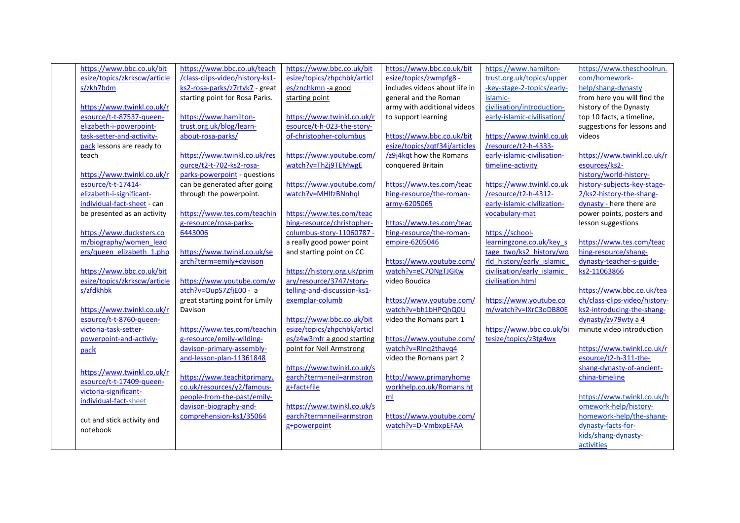| https://www.bbc.co.uk/bit    | https://www.bbc.co.uk/teach     | https://www.bbc.co.uk/bit   | https://www.bbc.co.uk/bit     | https://www.hamilton-       | https://www.theschoolrun.     |
|------------------------------|---------------------------------|-----------------------------|-------------------------------|-----------------------------|-------------------------------|
| esize/topics/zkrkscw/article | /class-clips-video/history-ks1- | esize/topics/zhpchbk/articl | esize/topics/zwmpfg8 -        | trust.org.uk/topics/upper   | com/homework-                 |
| s/zkh7bdm                    | ks2-rosa-parks/z7rtvk7 - great  | es/znchkmn-a good           | includes videos about life in | -key-stage-2-topics/early-  | help/shang-dynasty            |
|                              | starting point for Rosa Parks.  | starting point              | general and the Roman         | islamic-                    | from here you will find the   |
| https://www.twinkl.co.uk/r   |                                 |                             | army with additional videos   | civilisation/introduction-  | history of the Dynasty        |
| esource/t-t-87537-queen-     | https://www.hamilton-           | https://www.twinkl.co.uk/r  | to support learning           | early-islamic-civilisation/ | top 10 facts, a timeline,     |
| elizabeth-i-powerpoint-      | trust.org.uk/blog/learn-        | esource/t-h-023-the-story-  |                               |                             | suggestions for lessons and   |
| task-setter-and-activity-    | about-rosa-parks/               | of-christopher-columbus     | https://www.bbc.co.uk/bit     | https://www.twinkl.co.uk    | videos                        |
| pack lessons are ready to    |                                 |                             | esize/topics/zqtf34j/articles | /resource/t2-h-4333-        |                               |
| teach                        | https://www.twinkl.co.uk/res    | https://www.youtube.com/    | /z9j4kqt how the Romans       | early-islamic-civilisation- | https://www.twinkl.co.uk/r    |
|                              | ource/t2-t-702-ks2-rosa-        | watch?v=ThZj9TEMwgE         | conquered Britain             | timeline-activity           | esources/ks2-                 |
| https://www.twinkl.co.uk/r   | parks-powerpoint - questions    |                             |                               |                             | history/world-history-        |
| esource/t-t-17414-           | can be generated after going    | https://www.youtube.com/    | https://www.tes.com/teac      | https://www.twinkl.co.uk    | history-subjects-key-stage-   |
| elizabeth-i-significant-     | through the powerpoint.         | watch?v=MHlfzBNnhql         | hing-resource/the-roman-      | /resource/t2-h-4312-        | 2/ks2-history-the-shang-      |
| individual-fact-sheet - can  |                                 |                             | army-6205065                  | early-islamic-civilization- | dynasty - here there are      |
| be presented as an activity  | https://www.tes.com/teachin     | https://www.tes.com/teac    |                               | vocabulary-mat              | power points, posters and     |
|                              | g-resource/rosa-parks-          | hing-resource/christopher-  | https://www.tes.com/teac      |                             | lesson suggestions            |
| https://www.ducksters.co     | 6443006                         | columbus-story-11060787 -   | hing-resource/the-roman-      | https://school-             |                               |
| m/biography/women lead       |                                 | a really good power point   | empire-6205046                | learningzone.co.uk/key s    | https://www.tes.com/teac      |
| ers/queen elizabeth 1.php    | https://www.twinkl.co.uk/se     | and starting point on CC    |                               | tage two/ks2 history/wo     | hing-resource/shang-          |
|                              | arch?term=emily+davison         |                             | https://www.youtube.com/      | rld history/early islamic   | dynasty-teacher-s-guide-      |
| https://www.bbc.co.uk/bit    |                                 | https://history.org.uk/prim | watch?v=eC7ONgTJGKw           | civilisation/early islamic  | ks2-11063866                  |
| esize/topics/zkrkscw/article | https://www.youtube.com/w       | ary/resource/3747/story-    | video Boudica                 | civilisation.html           |                               |
| s/zfdkhbk                    | atch?v=OupS7ZfjE00 - a          | telling-and-discussion-ks1- |                               |                             | https://www.bbc.co.uk/tea     |
|                              | great starting point for Emily  | exemplar-columb             | https://www.youtube.com/      | https://www.youtube.co      | ch/class-clips-video/history- |
| https://www.twinkl.co.uk/r   | Davison                         |                             | watch?v=bh1bHPQhQ0U           | m/watch?v=IXrC3oDB80E       | ks2-introducing-the-shang-    |
| esource/t-t-8760-queen-      |                                 | https://www.bbc.co.uk/bit   | video the Romans part 1       |                             | dynasty/zv79wty a 4           |
| victoria-task-setter-        | https://www.tes.com/teachin     | esize/topics/zhpchbk/articl |                               | https://www.bbc.co.uk/bi    | minute video introduction     |
| powerpoint-and-activiy-      | g-resource/emily-wilding-       | es/z4w3mfr a good starting  | https://www.youtube.com/      | tesize/topics/z3tg4wx       |                               |
| pack                         | davison-primary-assembly-       | point for Neil Armstrong    | watch?v=RIng2thavq4           |                             | https://www.twinkl.co.uk/r    |
|                              | and-lesson-plan-11361848        |                             | video the Romans part 2       |                             | esource/t2-h-311-the-         |
| https://www.twinkl.co.uk/r   |                                 | https://www.twinkl.co.uk/s  |                               |                             | shang-dynasty-of-ancient-     |
| esource/t-t-17409-queen-     | https://www.teachitprimary.     | earch?term=neil+armstron    | http://www.primaryhome        |                             | china-timeline                |
| victoria-significant-        | co.uk/resources/y2/famous-      | g+fact+file                 | workhelp.co.uk/Romans.ht      |                             |                               |
| individual-fact-sheet        | people-from-the-past/emily-     |                             | ml                            |                             | https://www.twinkl.co.uk/h    |
|                              | davison-biography-and-          | https://www.twinkl.co.uk/s  |                               |                             | omework-help/history-         |
| cut and stick activity and   | comprehension-ks1/35064         | earch?term=neil+armstron    | https://www.youtube.com/      |                             | homework-help/the-shang-      |
| notebook                     |                                 | g+powerpoint                | watch?v=D-VmbxpEFAA           |                             | dynasty-facts-for-            |
|                              |                                 |                             |                               |                             | kids/shang-dynasty-           |
|                              |                                 |                             |                               |                             | activities                    |